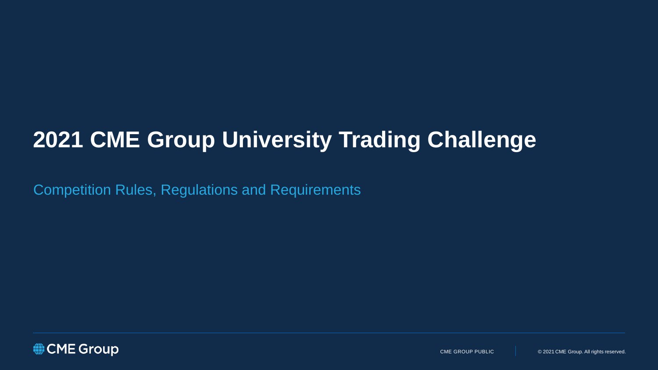# **2021 CME Group University Trading Challenge**

Competition Rules, Regulations and Requirements

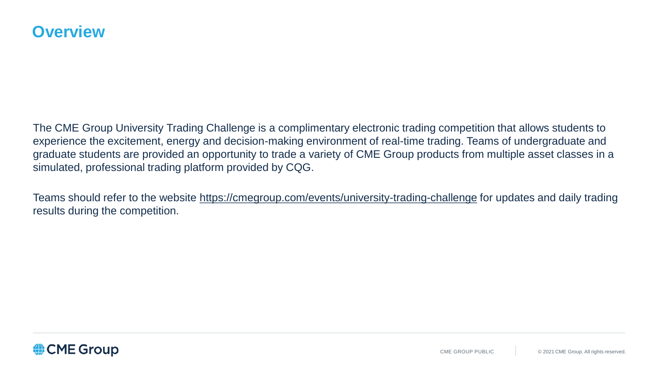The CME Group University Trading Challenge is a complimentary electronic trading competition that allows students to experience the excitement, energy and decision-making environment of real-time trading. Teams of undergraduate and graduate students are provided an opportunity to trade a variety of CME Group products from multiple asset classes in a simulated, professional trading platform provided by CQG.

Teams should refer to the website<https://cmegroup.com/events/university-trading-challenge> for updates and daily trading results during the competition.

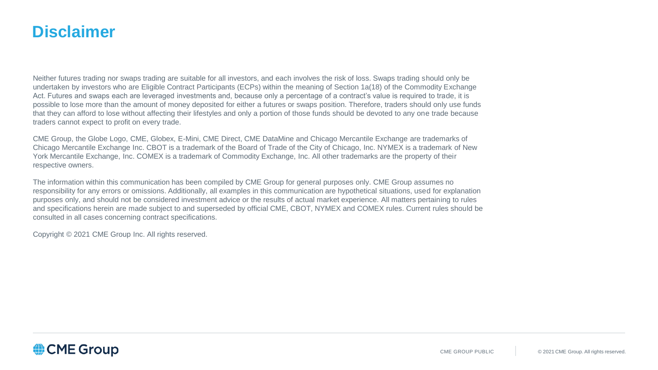## **Disclaimer**

Neither futures trading nor swaps trading are suitable for all investors, and each involves the risk of loss. Swaps trading should only be undertaken by investors who are Eligible Contract Participants (ECPs) within the meaning of Section 1a(18) of the Commodity Exchange Act. Futures and swaps each are leveraged investments and, because only a percentage of a contract's value is required to trade, it is possible to lose more than the amount of money deposited for either a futures or swaps position. Therefore, traders should only use funds that they can afford to lose without affecting their lifestyles and only a portion of those funds should be devoted to any one trade because traders cannot expect to profit on every trade.

CME Group, the Globe Logo, CME, Globex, E-Mini, CME Direct, CME DataMine and Chicago Mercantile Exchange are trademarks of Chicago Mercantile Exchange Inc. CBOT is a trademark of the Board of Trade of the City of Chicago, Inc. NYMEX is a trademark of New York Mercantile Exchange, Inc. COMEX is a trademark of Commodity Exchange, Inc. All other trademarks are the property of their respective owners.

The information within this communication has been compiled by CME Group for general purposes only. CME Group assumes no responsibility for any errors or omissions. Additionally, all examples in this communication are hypothetical situations, used for explanation purposes only, and should not be considered investment advice or the results of actual market experience. All matters pertaining to rules and specifications herein are made subject to and superseded by official CME, CBOT, NYMEX and COMEX rules. Current rules should be consulted in all cases concerning contract specifications.

Copyright © 2021 CME Group Inc. All rights reserved.

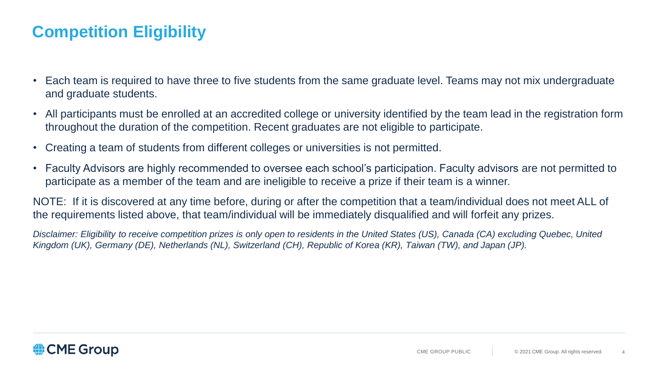## **Competition Eligibility**

- Each team is required to have three to five students from the same graduate level. Teams may not mix undergraduate and graduate students.
- All participants must be enrolled at an accredited college or university identified by the team lead in the registration form throughout the duration of the competition. Recent graduates are not eligible to participate.
- Creating a team of students from different colleges or universities is not permitted.
- Faculty Advisors are highly recommended to oversee each school's participation. Faculty advisors are not permitted to participate as a member of the team and are ineligible to receive a prize if their team is a winner.

NOTE: If it is discovered at any time before, during or after the competition that a team/individual does not meet ALL of the requirements listed above, that team/individual will be immediately disqualified and will forfeit any prizes.

*Disclaimer: Eligibility to receive competition prizes is only open to residents in the United States (US), Canada (CA) excluding Quebec, United Kingdom (UK), Germany (DE), Netherlands (NL), Switzerland (CH), Republic of Korea (KR), Taiwan (TW), and Japan (JP).*

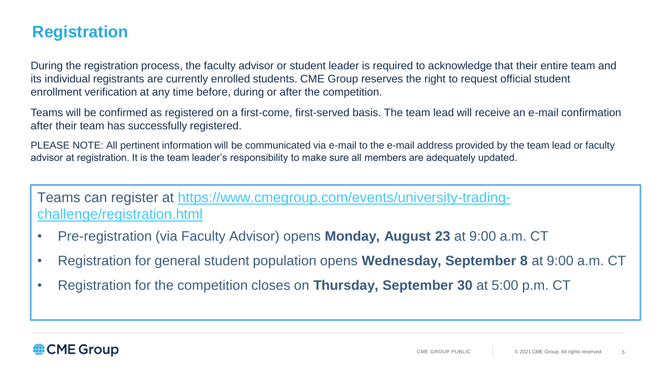## **Registration**

During the registration process, the faculty advisor or student leader is required to acknowledge that their entire team and its individual registrants are currently enrolled students. CME Group reserves the right to request official student enrollment verification at any time before, during or after the competition.

Teams will be confirmed as registered on a first-come, first-served basis. The team lead will receive an e-mail confirmation after their team has successfully registered.

PLEASE NOTE: All pertinent information will be communicated via e-mail to the e-mail address provided by the team lead or faculty advisor at registration. It is the team leader's responsibility to make sure all members are adequately updated.

[Teams can register at https://www.cmegroup.com/events/university-trading](https://www.cmegroup.com/events/university-trading-challenge/registration.html)challenge/registration.html

- Pre-registration (via Faculty Advisor) opens **Monday, August 23** at 9:00 a.m. CT
- Registration for general student population opens **Wednesday, September 8** at 9:00 a.m. CT
- Registration for the competition closes on **Thursday, September 30** at 5:00 p.m. CT

#### CME Group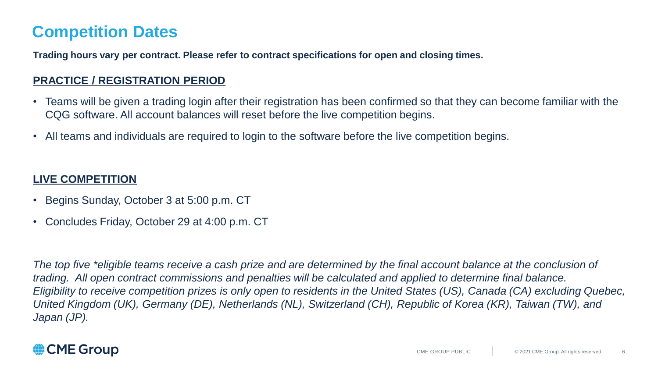# **Competition Dates**

**Trading hours vary per contract. Please refer to contract specifications for open and closing times.** 

#### **PRACTICE / REGISTRATION PERIOD**

- Teams will be given a trading login after their registration has been confirmed so that they can become familiar with the CQG software. All account balances will reset before the live competition begins.
- All teams and individuals are required to login to the software before the live competition begins.

#### **LIVE COMPETITION**

- Begins Sunday, October 3 at 5:00 p.m. CT
- Concludes Friday, October 29 at 4:00 p.m. CT

The top five \*eligible teams receive a cash prize and are determined by the final account balance at the conclusion of *trading. All open contract commissions and penalties will be calculated and applied to determine final balance. Eligibility to receive competition prizes is only open to residents in the United States (US), Canada (CA) excluding Quebec, United Kingdom (UK), Germany (DE), Netherlands (NL), Switzerland (CH), Republic of Korea (KR), Taiwan (TW), and Japan (JP).*

## CME Group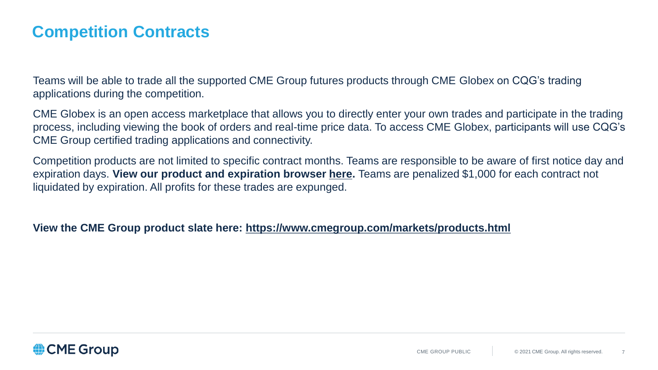## **Competition Contracts**

Teams will be able to trade all the supported CME Group futures products through CME Globex on CQG's trading applications during the competition.

CME Globex is an open access marketplace that allows you to directly enter your own trades and participate in the trading process, including viewing the book of orders and real-time price data. To access CME Globex, participants will use CQG's CME Group certified trading applications and connectivity.

Competition products are not limited to specific contract months. Teams are responsible to be aware of first notice day and expiration days. **View our product and expiration browser [here.](https://www.cmegroup.com/tools-information/quikstrike/product-expiration-browser-metals.html)** Teams are penalized \$1,000 for each contract not liquidated by expiration. All profits for these trades are expunged.

#### **View the CME Group product slate here: <https://www.cmegroup.com/markets/products.html>**

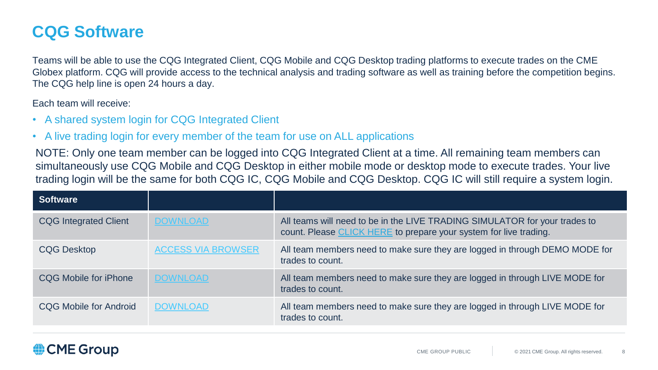## **CQG Software**

Teams will be able to use the CQG Integrated Client, CQG Mobile and CQG Desktop trading platforms to execute trades on the CME Globex platform. CQG will provide access to the technical analysis and trading software as well as training before the competition begins. The CQG help line is open 24 hours a day.

Each team will receive:

- A shared system login for CQG Integrated Client
- A live trading login for every member of the team for use on ALL applications

NOTE: Only one team member can be logged into CQG Integrated Client at a time. All remaining team members can simultaneously use CQG Mobile and CQG Desktop in either mobile mode or desktop mode to execute trades. Your live trading login will be the same for both CQG IC, CQG Mobile and CQG Desktop. CQG IC will still require a system login.

| <b>Software</b>              |                           |                                                                                                                                                 |
|------------------------------|---------------------------|-------------------------------------------------------------------------------------------------------------------------------------------------|
| <b>CQG Integrated Client</b> | <b>DOWNLOAD</b>           | All teams will need to be in the LIVE TRADING SIMULATOR for your trades to<br>count. Please CLICK HERE to prepare your system for live trading. |
| <b>CQG Desktop</b>           | <b>ACCESS VIA BROWSER</b> | All team members need to make sure they are logged in through DEMO MODE for<br>trades to count.                                                 |
| CQG Mobile for iPhone        | <b>DOWNLOAD</b>           | All team members need to make sure they are logged in through LIVE MODE for<br>trades to count.                                                 |
| CQG Mobile for Android       | <b>DOWNLOAD</b>           | All team members need to make sure they are logged in through LIVE MODE for<br>trades to count.                                                 |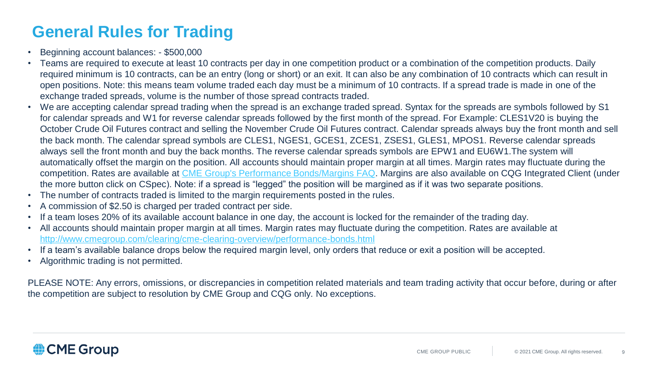# **General Rules for Trading**

- Beginning account balances: \$500,000
- Teams are required to execute at least 10 contracts per day in one competition product or a combination of the competition products. Daily required minimum is 10 contracts, can be an entry (long or short) or an exit. It can also be any combination of 10 contracts which can result in open positions. Note: this means team volume traded each day must be a minimum of 10 contracts. If a spread trade is made in one of the exchange traded spreads, volume is the number of those spread contracts traded.
- We are accepting calendar spread trading when the spread is an exchange traded spread. Syntax for the spreads are symbols followed by S1 for calendar spreads and W1 for reverse calendar spreads followed by the first month of the spread. For Example: CLES1V20 is buying the October Crude Oil Futures contract and selling the November Crude Oil Futures contract. Calendar spreads always buy the front month and sell the back month. The calendar spread symbols are CLES1, NGES1, GCES1, ZCES1, ZSES1, GLES1, MPOS1. Reverse calendar spreads always sell the front month and buy the back months. The reverse calendar spreads symbols are EPW1 and EU6W1.The system will automatically offset the margin on the position. All accounts should maintain proper margin at all times. Margin rates may fluctuate during the competition. Rates are available at [CME Group's Performance Bonds/Margins FAQ.](https://www.cmegroup.com/clearing/cme-clearing-overview/performance-bonds.html?mkt_tok=3RkMMJWWfF9wsRomrfCcI63Em2iQPJWpsrB0B/DC18kX3RUmK76dfkz6htBZF5s8TM3DUlNJXrhR4UEBSbM=) Margins are also available on CQG Integrated Client (under the more button click on CSpec). Note: if a spread is "legged" the position will be margined as if it was two separate positions.
- The number of contracts traded is limited to the margin requirements posted in the rules.
- A commission of \$2.50 is charged per traded contract per side.
- If a team loses 20% of its available account balance in one day, the account is locked for the remainder of the trading day.
- All accounts should maintain proper margin at all times. Margin rates may fluctuate during the competition. Rates are available at <http://www.cmegroup.com/clearing/cme-clearing-overview/performance-bonds.html>
- If a team's available balance drops below the required margin level, only orders that reduce or exit a position will be accepted.
- Algorithmic trading is not permitted.

PLEASE NOTE: Any errors, omissions, or discrepancies in competition related materials and team trading activity that occur before, during or after the competition are subject to resolution by CME Group and CQG only. No exceptions.

## CME Group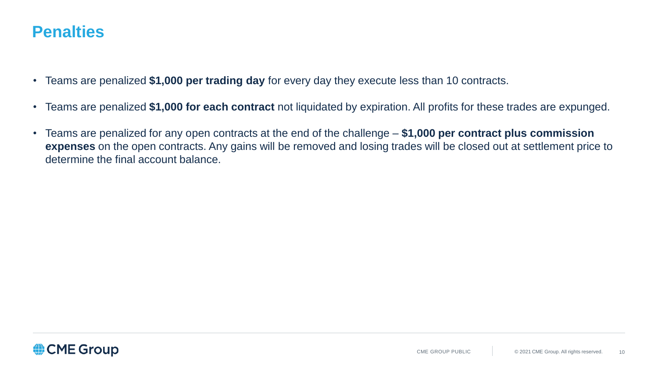## **Penalties**

- Teams are penalized **\$1,000 per trading day** for every day they execute less than 10 contracts.
- Teams are penalized **\$1,000 for each contract** not liquidated by expiration. All profits for these trades are expunged.
- Teams are penalized for any open contracts at the end of the challenge **\$1,000 per contract plus commission expenses** on the open contracts. Any gains will be removed and losing trades will be closed out at settlement price to determine the final account balance.

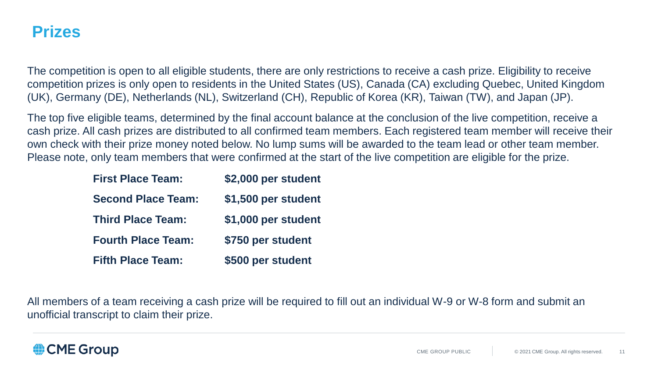## **Prizes**

The competition is open to all eligible students, there are only restrictions to receive a cash prize. Eligibility to receive competition prizes is only open to residents in the United States (US), Canada (CA) excluding Quebec, United Kingdom (UK), Germany (DE), Netherlands (NL), Switzerland (CH), Republic of Korea (KR), Taiwan (TW), and Japan (JP).

The top five eligible teams, determined by the final account balance at the conclusion of the live competition, receive a cash prize. All cash prizes are distributed to all confirmed team members. Each registered team member will receive their own check with their prize money noted below. No lump sums will be awarded to the team lead or other team member. Please note, only team members that were confirmed at the start of the live competition are eligible for the prize.

| <b>First Place Team:</b>  | \$2,000 per student |
|---------------------------|---------------------|
| <b>Second Place Team:</b> | \$1,500 per student |
| <b>Third Place Team:</b>  | \$1,000 per student |
| <b>Fourth Place Team:</b> | \$750 per student   |
| <b>Fifth Place Team:</b>  | \$500 per student   |

All members of a team receiving a cash prize will be required to fill out an individual W-9 or W-8 form and submit an unofficial transcript to claim their prize.

### **● CME Group**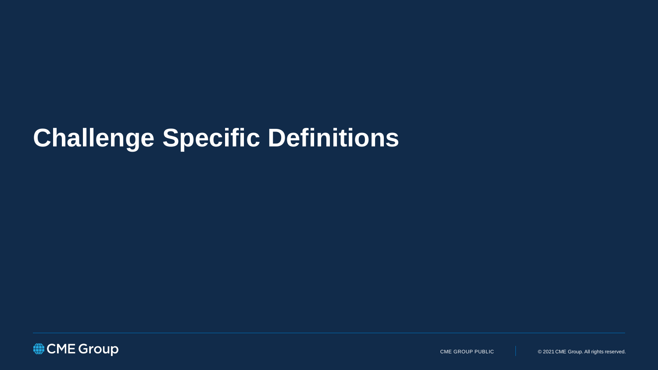# **Challenge Specific Definitions**

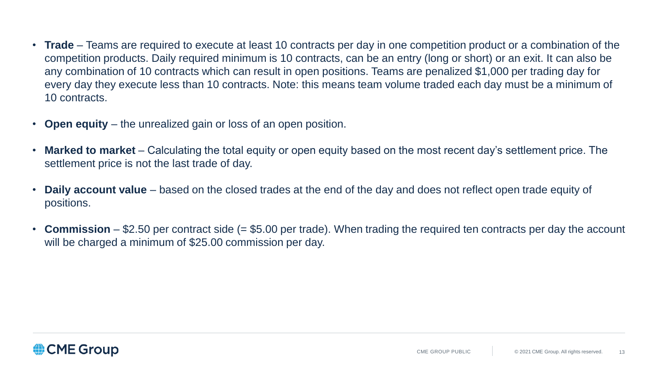- **Trade** Teams are required to execute at least 10 contracts per day in one competition product or a combination of the competition products. Daily required minimum is 10 contracts, can be an entry (long or short) or an exit. It can also be any combination of 10 contracts which can result in open positions. Teams are penalized \$1,000 per trading day for every day they execute less than 10 contracts. Note: this means team volume traded each day must be a minimum of 10 contracts.
- **Open equity** the unrealized gain or loss of an open position.
- **Marked to market**  Calculating the total equity or open equity based on the most recent day's settlement price. The settlement price is not the last trade of day.
- **Daily account value**  based on the closed trades at the end of the day and does not reflect open trade equity of positions.
- **Commission** \$2.50 per contract side (= \$5.00 per trade). When trading the required ten contracts per day the account will be charged a minimum of \$25.00 commission per day.

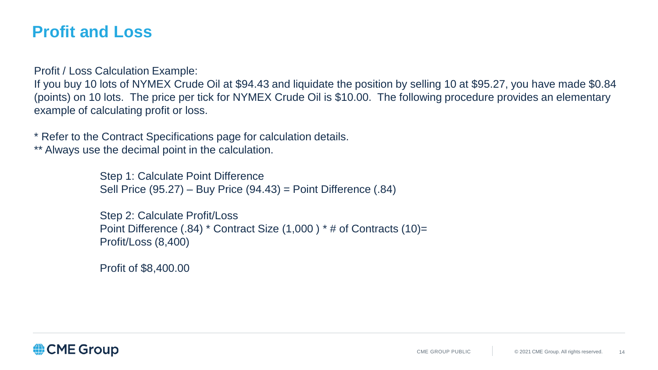## **Profit and Loss**

Profit / Loss Calculation Example:

If you buy 10 lots of NYMEX Crude Oil at \$94.43 and liquidate the position by selling 10 at \$95.27, you have made \$0.84 (points) on 10 lots. The price per tick for NYMEX Crude Oil is \$10.00. The following procedure provides an elementary example of calculating profit or loss.

\* Refer to the Contract Specifications page for calculation details.

\*\* Always use the decimal point in the calculation.

Step 1: Calculate Point Difference Sell Price (95.27) – Buy Price (94.43) = Point Difference (.84)

Step 2: Calculate Profit/Loss Point Difference (.84) \* Contract Size (1,000 ) \* # of Contracts (10)= Profit/Loss (8,400)

Profit of \$8,400.00

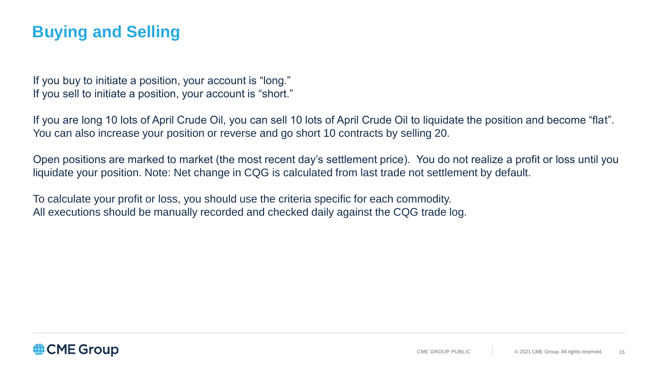## **Buying and Selling**

If you buy to initiate a position, your account is "long." If you sell to initiate a position, your account is "short."

If you are long 10 lots of April Crude Oil, you can sell 10 lots of April Crude Oil to liquidate the position and become "flat". You can also increase your position or reverse and go short 10 contracts by selling 20.

Open positions are marked to market (the most recent day's settlement price). You do not realize a profit or loss until you liquidate your position. Note: Net change in CQG is calculated from last trade not settlement by default.

To calculate your profit or loss, you should use the criteria specific for each commodity. All executions should be manually recorded and checked daily against the CQG trade log.

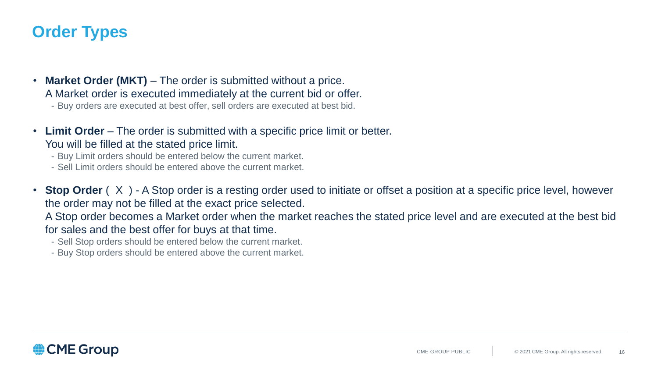## **Order Types**

- **Market Order (MKT)** The order is submitted without a price. A Market order is executed immediately at the current bid or offer.
	- Buy orders are executed at best offer, sell orders are executed at best bid.
- **Limit Order**  The order is submitted with a specific price limit or better. You will be filled at the stated price limit.
	- Buy Limit orders should be entered below the current market.
	- Sell Limit orders should be entered above the current market.
- **Stop Order** (X) A Stop order is a resting order used to initiate or offset a position at a specific price level, however the order may not be filled at the exact price selected.

A Stop order becomes a Market order when the market reaches the stated price level and are executed at the best bid for sales and the best offer for buys at that time.

- Sell Stop orders should be entered below the current market.
- Buy Stop orders should be entered above the current market.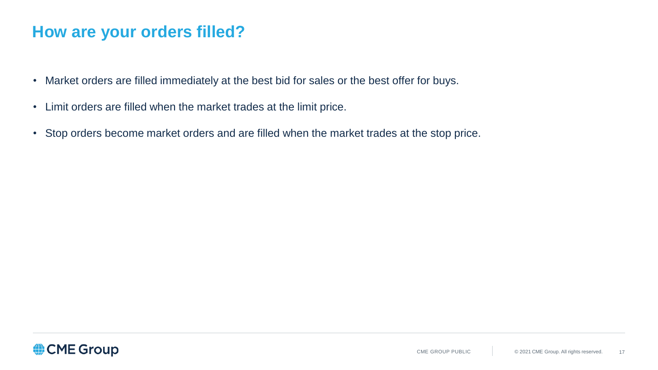## **How are your orders filled?**

- Market orders are filled immediately at the best bid for sales or the best offer for buys.
- Limit orders are filled when the market trades at the limit price.
- Stop orders become market orders and are filled when the market trades at the stop price.

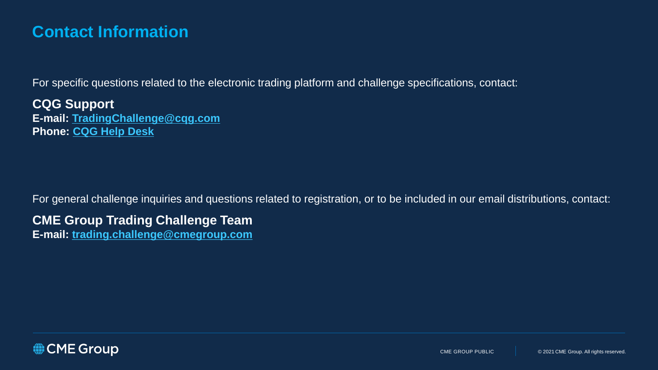## **Contact Information**

For specific questions related to the electronic trading platform and challenge specifications, contact:

**CQG Support E-mail: [TradingChallenge@cqg.com](mailto:TradingChallenge@cqg.com) Phone: [CQG Help Desk](http://www.cqg.com/about-cqg/contact-us)**

For general challenge inquiries and questions related to registration, or to be included in our email distributions, contact:

**CME Group Trading Challenge Team**

**E-mail: [trading.challenge@cmegroup.com](mailto:trading.challenge@cmegroup.com)**

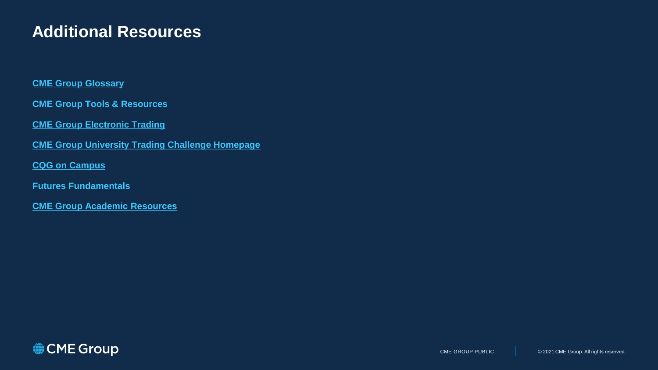## **Additional Resources**

#### **[CME Group Glossary](http://www.cmegroup.com/education/glossary.html)**

**[CME Group Tools & Resources](https://www.cmegroup.com/tools-information/)**

**[CME Group Electronic Trading](http://www.cmegroup.com/globex/)**

**[CME Group University Trading Challenge Homepage](https://www.cmegroup.com/events/university-trading-challenge.html)**

**[CQG on Campus](https://www.cqg.com/support/cqg-campus)**

**[Futures Fundamentals](http://www.futuresfundamentals.com/)** 

**[CME Group Academic Resources](https://www.cmegroup.com/education/academic-resources.html)**